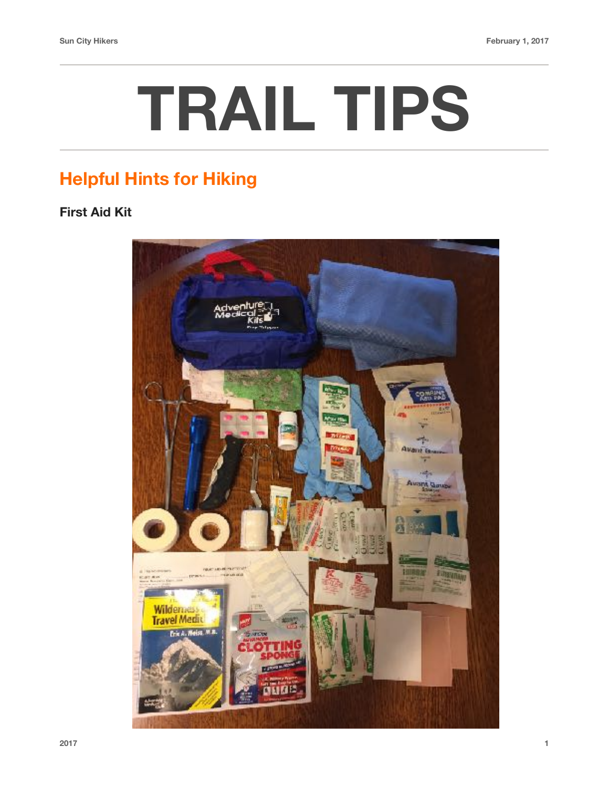## **TRAIL TIPS**

## **Helpful Hints for Hiking**

## **First Aid Kit**

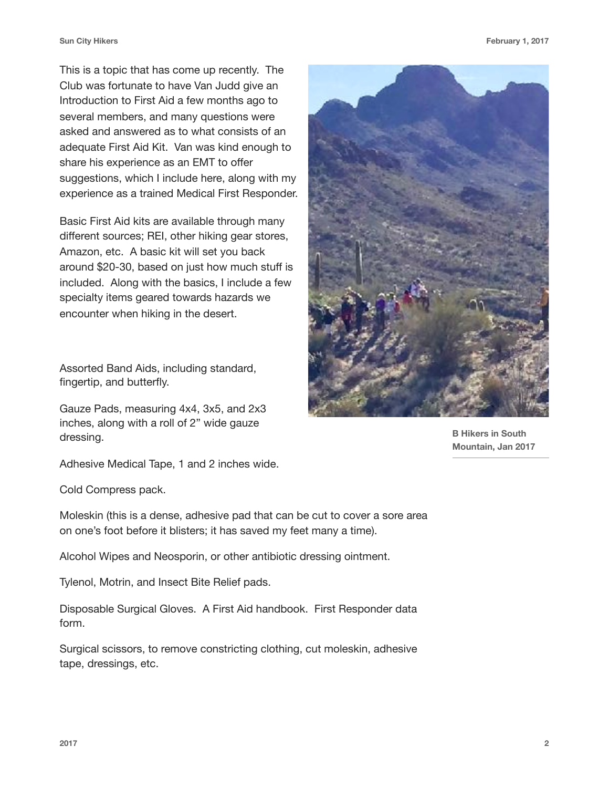This is a topic that has come up recently. The Club was fortunate to have Van Judd give an Introduction to First Aid a few months ago to several members, and many questions were asked and answered as to what consists of an adequate First Aid Kit. Van was kind enough to share his experience as an EMT to offer suggestions, which I include here, along with my experience as a trained Medical First Responder.

Basic First Aid kits are available through many different sources; REI, other hiking gear stores, Amazon, etc. A basic kit will set you back around \$20-30, based on just how much stuff is included. Along with the basics, I include a few specialty items geared towards hazards we encounter when hiking in the desert.

Assorted Band Aids, including standard, fingertip, and butterfly.

Gauze Pads, measuring 4x4, 3x5, and 2x3 inches, along with a roll of 2" wide gauze dressing.



**B Hikers in South Mountain, Jan 2017**

Adhesive Medical Tape, 1 and 2 inches wide.

Cold Compress pack.

Moleskin (this is a dense, adhesive pad that can be cut to cover a sore area on one's foot before it blisters; it has saved my feet many a time).

Alcohol Wipes and Neosporin, or other antibiotic dressing ointment.

Tylenol, Motrin, and Insect Bite Relief pads.

Disposable Surgical Gloves. A First Aid handbook. First Responder data form.

Surgical scissors, to remove constricting clothing, cut moleskin, adhesive tape, dressings, etc.